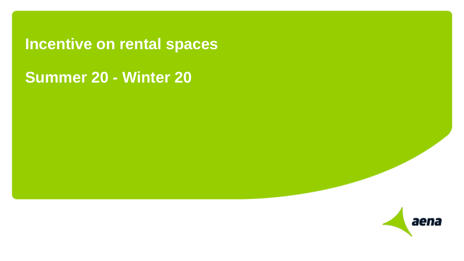**Incentive on rental spaces**

### **Summer 20 - Winter 20**

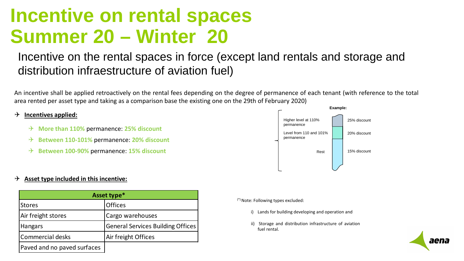## **Incentive on rental spaces Summer 20 – Winter 20**

### Incentive on the rental spaces in force (except land rentals and storage and distribution infraestructure of aviation fuel)

An incentive shall be applied retroactively on the rental fees depending on the degree of permanence of each tenant (with reference to the total area rented per asset type and taking as a comparison base the existing one on the 29th of February 2020)

#### **Incentives applied:**

- **More than 110%** permanence: **25% discount**
- **Between 110-101%** permanence: **20% discount**
- **Between 100-90%** permanence: **15% discount**



#### $\rightarrow$  Asset type included in this incentive:

| Asset type*                 |                                          |
|-----------------------------|------------------------------------------|
| Stores                      | <b>Offices</b>                           |
| Air freight stores          | Cargo warehouses                         |
| <b>Hangars</b>              | <b>General Services Building Offices</b> |
| Commercial desks            | Air freight Offices                      |
| Paved and no paved surfaces |                                          |

 $(*)$  Note: Following types excluded:

- i) Lands for building developing and operation and
- ii) Storage and distribution infrastructure of aviation fuel rental.

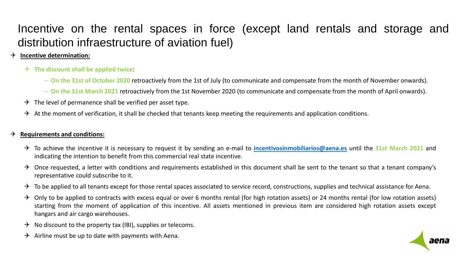### Incentive on the rental spaces in force (except land rentals and storage and distribution infraestructure of aviation fuel)

### **Incentive determination:**

- **The discount shall be applied twice**:
	- **On the 31st of October 2020** retroactively from the 1st of July (to communicate and compensate from the month of November onwards).
	- **On the 31st March 2021** retroactively from the 1st November 2020 (to communicate and compensate from the month of April onwards).
- $\rightarrow$  The level of permanence shall be verified per asset type.
- $\rightarrow$  At the moment of verification, it shall be checked that tenants keep meeting the requirements and application conditions.

#### **Requirements and conditions:**

- To achieve the incentive it is necessary to request it by sending an e-mail to **[incentivosinmobiliarios@aena.es](mailto:incentivosinmobiliarios@aena.es)** until the **31st March 2021** and indicating the intention to benefit from this commercial real state incentive.
- $\rightarrow$  Once requested, a letter with conditions and requirements established in this document shall be sent to the tenant so that a tenant company's representative could subscribe to it.
- $\rightarrow$  To be applied to all tenants except for those rental spaces associated to service record, constructions, supplies and technical assistance for Aena.
- $\rightarrow$  Only to be applied to contracts with excess equal or over 6 months rental (for high rotation assets) or 24 months rental (for low rotation assets) starting from the moment of application of this incentive. All assets mentioned in previous item are considered high rotation assets except hangars and air cargo warehouses.

aena

- $\rightarrow$  No discount to the property tax (IBI), supplies or telecoms.
- Airline must be up to date with payments with Aena.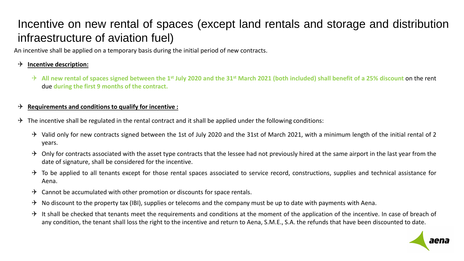### Incentive on new rental of spaces (except land rentals and storage and distribution infraestructure of aviation fuel)

An incentive shall be applied on a temporary basis during the initial period of new contracts.

### **Incentive description:**

All new rental of spaces signed between the 1<sup>st</sup> July 2020 and the 31<sup>st</sup> March 2021 (both included) shall benefit of a 25% discount on the rent due **during the first 9 months of the contract.**

#### **Requirements and conditionsto qualify for incentive :**

- $\rightarrow$  The incentive shall be regulated in the rental contract and it shall be applied under the following conditions:
	- $\rightarrow$  Valid only for new contracts signed between the 1st of July 2020 and the 31st of March 2021, with a minimum length of the initial rental of 2 years.
	- $\rightarrow$  Only for contracts associated with the asset type contracts that the lessee had not previously hired at the same airport in the last year from the date of signature, shall be considered for the incentive.
	- $\rightarrow$  To be applied to all tenants except for those rental spaces associated to service record, constructions, supplies and technical assistance for Aena.
	- $\rightarrow$  Cannot be accumulated with other promotion or discounts for space rentals.
	- $\rightarrow$  No discount to the property tax (IBI), supplies or telecoms and the company must be up to date with payments with Aena.
	- $\rightarrow$  It shall be checked that tenants meet the requirements and conditions at the moment of the application of the incentive. In case of breach of any condition, the tenant shall loss the right to the incentive and return to Aena, S.M.E., S.A. the refunds that have been discounted to date.

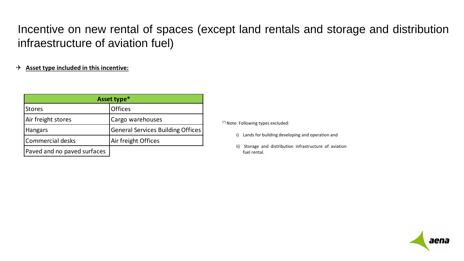### Incentive on new rental of spaces (except land rentals and storage and distribution infraestructure of aviation fuel)

### **Asset type included in this incentive:**

| Asset type*                 |                                          |
|-----------------------------|------------------------------------------|
| <b>Stores</b>               | <b>Offices</b>                           |
| Air freight stores          | Cargo warehouses                         |
| <b>Hangars</b>              | <b>General Services Building Offices</b> |
| Commercial desks            | Air freight Offices                      |
| Paved and no paved surfaces |                                          |

 $(*)$  Note: Following types excluded:

- i) Lands for building developing and operation and
- ii) Storage and distribution infrastructure of aviation fuel rental.